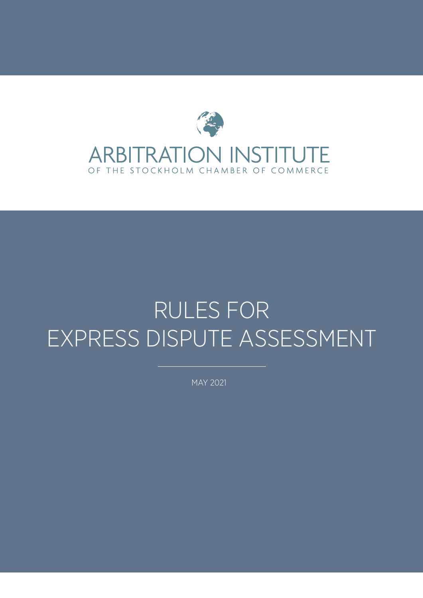

# RULES FOR EXPRESS DISPUTE ASSESSMENT

MAY 2021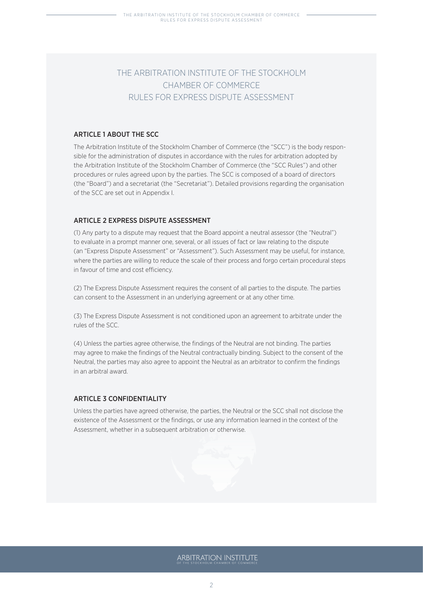# THE ARBITRATION INSTITUTE OF THE STOCKHOLM CHAMBER OF COMMERCE RULES FOR EXPRESS DISPUTE ASSESSMENT

# ARTICLE 1 ABOUT THE SCC.

The Arbitration Institute of the Stockholm Chamber of Commerce (the "SCC") is the body responsible for the administration of disputes in accordance with the rules for arbitration adopted by the Arbitration Institute of the Stockholm Chamber of Commerce (the "SCC Rules") and other procedures or rules agreed upon by the parties. The SCC is composed of a board of directors (the "Board") and a secretariat (the "Secretariat"). Detailed provisions regarding the organisation of the SCC are set out in Appendix I.

# ARTICLE 2 EXPRESS DISPUTE ASSESSMENT

(1) Any party to a dispute may request that the Board appoint a neutral assessor (the "Neutral") to evaluate in a prompt manner one, several, or all issues of fact or law relating to the dispute (an "Express Dispute Assessment" or "Assessment"). Such Assessment may be useful, for instance, where the parties are willing to reduce the scale of their process and forgo certain procedural steps in favour of time and cost efficiency.

(2) The Express Dispute Assessment requires the consent of all parties to the dispute. The parties can consent to the Assessment in an underlying agreement or at any other time.

(3) The Express Dispute Assessment is not conditioned upon an agreement to arbitrate under the rules of the SCC.

(4) Unless the parties agree otherwise, the findings of the Neutral are not binding. The parties may agree to make the findings of the Neutral contractually binding. Subject to the consent of the Neutral, the parties may also agree to appoint the Neutral as an arbitrator to confirm the findings in an arbitral award.

# ARTICLE 3 CONFIDENTIALITY

Unless the parties have agreed otherwise, the parties, the Neutral or the SCC shall not disclose the existence of the Assessment or the findings, or use any information learned in the context of the Assessment, whether in a subsequent arbitration or otherwise.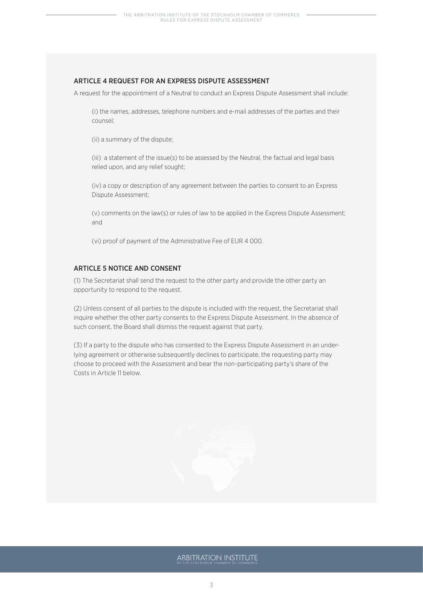# ARTICLE 4 REQUEST FOR AN EXPRESS DISPUTE ASSESSMENT

A request for the appointment of a Neutral to conduct an Express Dispute Assessment shall include:

(i) the names, addresses, telephone numbers and e-mail addresses of the parties and their counsel;

(ii) a summary of the dispute;

(iii) a statement of the issue(s) to be assessed by the Neutral, the factual and legal basis relied upon, and any relief sought;

(iv) a copy or description of any agreement between the parties to consent to an Express Dispute Assessment;

(v) comments on the law(s) or rules of law to be applied in the Express Dispute Assessment; and

(vi) proof of payment of the Administrative Fee of EUR 4 000.

# ARTICLE 5 NOTICE AND CONSENT

(1) The Secretariat shall send the request to the other party and provide the other party an opportunity to respond to the request.

(2) Unless consent of all parties to the dispute is included with the request, the Secretariat shall inquire whether the other party consents to the Express Dispute Assessment. In the absence of such consent, the Board shall dismiss the request against that party.

(3) If a party to the dispute who has consented to the Express Dispute Assessment in an underlying agreement or otherwise subsequently declines to participate, the requesting party may choose to proceed with the Assessment and bear the non-participating party's share of the Costs in Article 11 below.

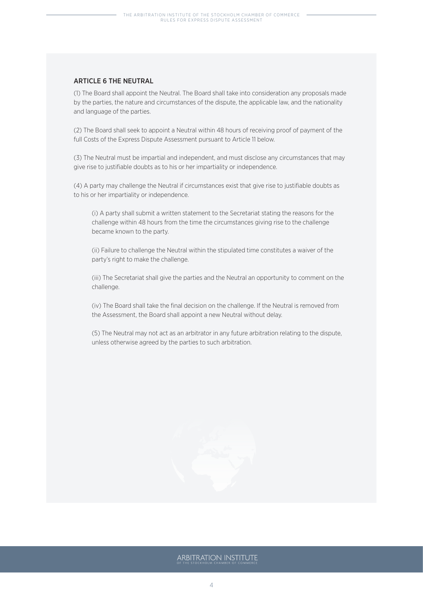# ARTICLE 6 THE NEUTRAL

(1) The Board shall appoint the Neutral. The Board shall take into consideration any proposals made by the parties, the nature and circumstances of the dispute, the applicable law, and the nationality and language of the parties.

(2) The Board shall seek to appoint a Neutral within 48 hours of receiving proof of payment of the full Costs of the Express Dispute Assessment pursuant to Article 11 below.

(3) The Neutral must be impartial and independent, and must disclose any circumstances that may give rise to justifiable doubts as to his or her impartiality or independence.

(4) A party may challenge the Neutral if circumstances exist that give rise to justifiable doubts as to his or her impartiality or independence.

(i) A party shall submit a written statement to the Secretariat stating the reasons for the challenge within 48 hours from the time the circumstances giving rise to the challenge became known to the party.

(ii) Failure to challenge the Neutral within the stipulated time constitutes a waiver of the party's right to make the challenge.

(iii) The Secretariat shall give the parties and the Neutral an opportunity to comment on the challenge.

(iv) The Board shall take the final decision on the challenge. If the Neutral is removed from the Assessment, the Board shall appoint a new Neutral without delay.

(5) The Neutral may not act as an arbitrator in any future arbitration relating to the dispute, unless otherwise agreed by the parties to such arbitration.

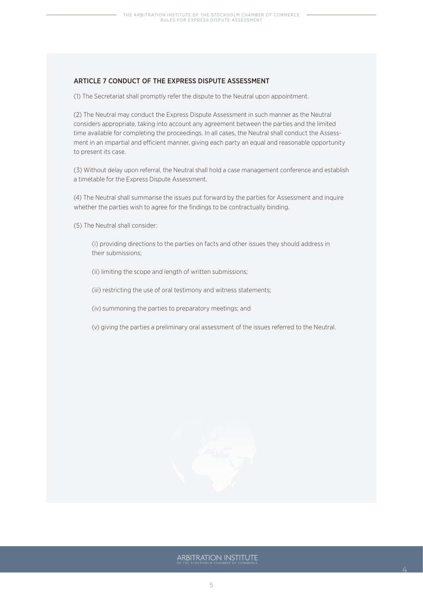# ARTICLE 7 CONDUCT OF THE EXPRESS DISPUTE ASSESSMENT

(1) The Secretariat shall promptly refer the dispute to the Neutral upon appointment.

(2) The Neutral may conduct the Express Dispute Assessment in such manner as the Neutral considers appropriate, taking into account any agreement between the parties and the limited time available for completing the proceedings. In all cases, the Neutral shall conduct the Assessment in an impartial and efficient manner, giving each party an equal and reasonable opportunity to present its case.

(3) Without delay upon referral, the Neutral shall hold a case management conference and establish a timetable for the Express Dispute Assessment.

(4) The Neutral shall summarise the issues put forward by the parties for Assessment and inquire whether the parties wish to agree for the findings to be contractually binding.

(5) The Neutral shall consider:

(i) providing directions to the parties on facts and other issues they should address in their submissions;

- (ii) limiting the scope and length of written submissions;
- (iii) restricting the use of oral testimony and witness statements;
- (iv) summoning the parties to preparatory meetings; and
- (v) giving the parties a preliminary oral assessment of the issues referred to the Neutral.



4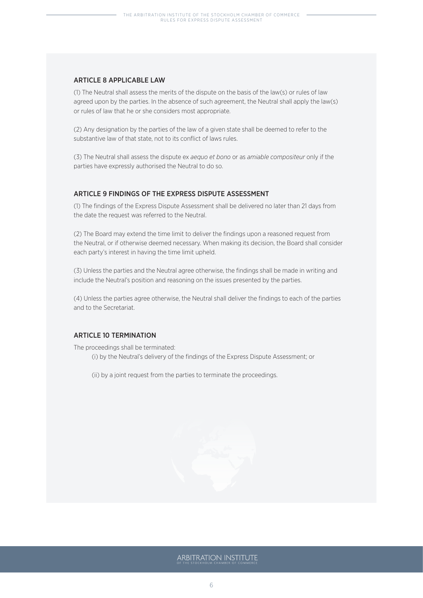#### ARTICLE 8 APPLICABLE LAW

(1) The Neutral shall assess the merits of the dispute on the basis of the law(s) or rules of law agreed upon by the parties. In the absence of such agreement, the Neutral shall apply the law(s) or rules of law that he or she considers most appropriate.

(2) Any designation by the parties of the law of a given state shall be deemed to refer to the substantive law of that state, not to its conflict of laws rules.

(3) The Neutral shall assess the dispute ex *aequo et bono* or as *amiable compositeur* only if the parties have expressly authorised the Neutral to do so.

#### ARTICLE 9 FINDINGS OF THE EXPRESS DISPUTE ASSESSMENT

(1) The findings of the Express Dispute Assessment shall be delivered no later than 21 days from the date the request was referred to the Neutral.

(2) The Board may extend the time limit to deliver the findings upon a reasoned request from the Neutral, or if otherwise deemed necessary. When making its decision, the Board shall consider each party's interest in having the time limit upheld.

(3) Unless the parties and the Neutral agree otherwise, the findings shall be made in writing and include the Neutral's position and reasoning on the issues presented by the parties.

(4) Unless the parties agree otherwise, the Neutral shall deliver the findings to each of the parties and to the Secretariat.

# ARTICLE 10 TERMINATION

The proceedings shall be terminated:

(i) by the Neutral's delivery of the findings of the Express Dispute Assessment; or

(ii) by a joint request from the parties to terminate the proceedings.

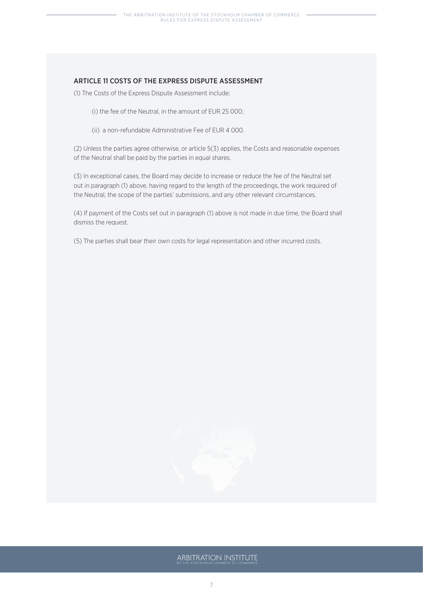# ARTICLE 11 COSTS OF THE EXPRESS DISPUTE ASSESSMENT

(1) The Costs of the Express Dispute Assessment include:

- (i) the fee of the Neutral, in the amount of EUR 25 000;
- (ii) a non-refundable Administrative Fee of EUR 4 000.

(2) Unless the parties agree otherwise, or article 5(3) applies, the Costs and reasonable expenses of the Neutral shall be paid by the parties in equal shares.

(3) In exceptional cases, the Board may decide to increase or reduce the fee of the Neutral set out in paragraph (1) above, having regard to the length of the proceedings, the work required of the Neutral, the scope of the parties' submissions, and any other relevant circumstances.

(4) If payment of the Costs set out in paragraph (1) above is not made in due time, the Board shall dismiss the request.

(5) The parties shall bear their own costs for legal representation and other incurred costs.

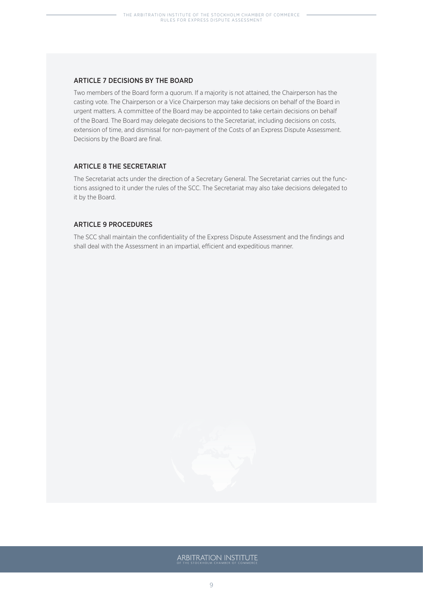#### ARTICLE 7 DECISIONS BY THE BOARD

Two members of the Board form a quorum. If a majority is not attained, the Chairperson has the casting vote. The Chairperson or a Vice Chairperson may take decisions on behalf of the Board in urgent matters. A committee of the Board may be appointed to take certain decisions on behalf of the Board. The Board may delegate decisions to the Secretariat, including decisions on costs, extension of time, and dismissal for non-payment of the Costs of an Express Dispute Assessment. Decisions by the Board are final.

#### ARTICLE 8 THE SECRETARIAT

The Secretariat acts under the direction of a Secretary General. The Secretariat carries out the functions assigned to it under the rules of the SCC. The Secretariat may also take decisions delegated to it by the Board.

#### ARTICLE 9 PROCEDURES

The SCC shall maintain the confidentiality of the Express Dispute Assessment and the findings and shall deal with the Assessment in an impartial, efficient and expeditious manner.